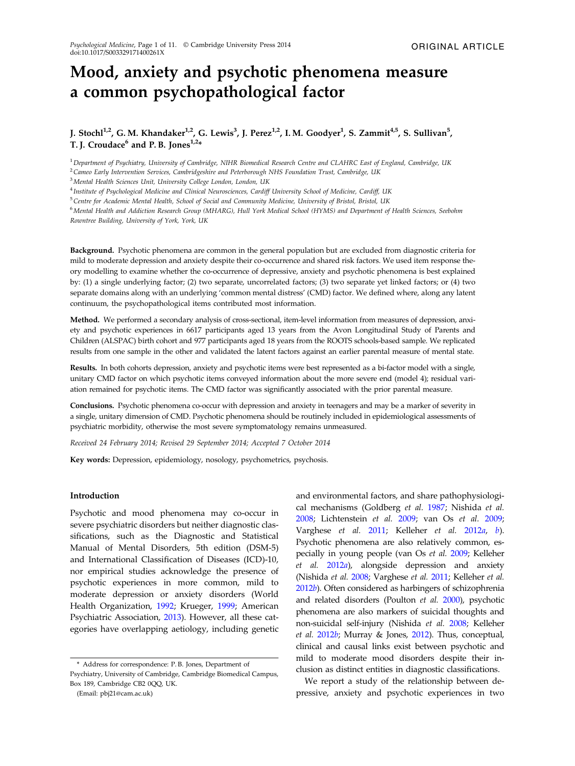# Mood, anxiety and psychotic phenomena measure a common psychopathological factor

# J. Stochl $^{1,2}$ , G. M. Khandaker $^{1,2}$ , G. Lewis $^3$ , J. Perez $^{1,2}$ , I. M. Goodyer $^1$ , S. Zammit $^{4,5}$ , S. Sullivan $^5$ , T. J. Croudace<sup>6</sup> and P. B. Jones<sup>1,2</sup>\*

<sup>1</sup>*Department of Psychiatry, University of Cambridge, NIHR Biomedical Research Centre and CLAHRC East of England, Cambridge, UK*

<sup>2</sup>*Cameo Early Intervention Services, Cambridgeshire and Peterborough NHS Foundation Trust, Cambridge, UK*

<sup>3</sup>*Mental Health Sciences Unit, University College London, London, UK*

4 *Institute of Psychological Medicine and Clinical Neurosciences, Cardiff University School of Medicine, Cardiff, UK*

<sup>5</sup>*Centre for Academic Mental Health, School of Social and Community Medicine, University of Bristol, Bristol, UK*

<sup>6</sup>*Mental Health and Addiction Research Group (MHARG), Hull York Medical School (HYMS) and Department of Health Sciences, Seebohm Rowntree Building, University of York, York, UK*

Background. Psychotic phenomena are common in the general population but are excluded from diagnostic criteria for mild to moderate depression and anxiety despite their co-occurrence and shared risk factors. We used item response theory modelling to examine whether the co-occurrence of depressive, anxiety and psychotic phenomena is best explained by: (1) a single underlying factor; (2) two separate, uncorrelated factors; (3) two separate yet linked factors; or (4) two separate domains along with an underlying 'common mental distress' (CMD) factor. We defined where, along any latent continuum, the psychopathological items contributed most information.

Method. We performed a secondary analysis of cross-sectional, item-level information from measures of depression, anxiety and psychotic experiences in 6617 participants aged 13 years from the Avon Longitudinal Study of Parents and Children (ALSPAC) birth cohort and 977 participants aged 18 years from the ROOTS schools-based sample. We replicated results from one sample in the other and validated the latent factors against an earlier parental measure of mental state.

Results. In both cohorts depression, anxiety and psychotic items were best represented as a bi-factor model with a single, unitary CMD factor on which psychotic items conveyed information about the more severe end (model 4); residual variation remained for psychotic items. The CMD factor was significantly associated with the prior parental measure.

Conclusions. Psychotic phenomena co-occur with depression and anxiety in teenagers and may be a marker of severity in a single, unitary dimension of CMD. Psychotic phenomena should be routinely included in epidemiological assessments of psychiatric morbidity, otherwise the most severe symptomatology remains unmeasured.

*Received 24 February 2014; Revised 29 September 2014; Accepted 7 October 2014*

Key words: Depression, epidemiology, nosology, psychometrics, psychosis.

## Introduction

Psychotic and mood phenomena may co-occur in severe psychiatric disorders but neither diagnostic classifications, such as the Diagnostic and Statistical Manual of Mental Disorders, 5th edition (DSM-5) and International Classification of Diseases (ICD)-10, nor empirical studies acknowledge the presence of psychotic experiences in more common, mild to moderate depression or anxiety disorders (World Health Organization, 1992; Krueger, 1999; American Psychiatric Association, 2013). However, all these categories have overlapping aetiology, including genetic

(Email: pbj21@cam.ac.uk)

and environmental factors, and share pathophysiological mechanisms (Goldberg *et al.* 1987; Nishida *et al.* 2008; Lichtenstein *et al.* 2009; van Os *et al.* 2009; Varghese *et al.* 2011; Kelleher *et al.* 2012*a*, *b*). Psychotic phenomena are also relatively common, especially in young people (van Os *et al.* 2009; Kelleher *et al.* 2012*a*), alongside depression and anxiety (Nishida *et al.* 2008; Varghese *et al.* 2011; Kelleher *et al.* 2012*b*). Often considered as harbingers of schizophrenia and related disorders (Poulton *et al.* 2000), psychotic phenomena are also markers of suicidal thoughts and non-suicidal self-injury (Nishida *et al.* 2008; Kelleher *et al.* 2012*b*; Murray & Jones, 2012). Thus, conceptual, clinical and causal links exist between psychotic and mild to moderate mood disorders despite their inclusion as distinct entities in diagnostic classifications.

We report a study of the relationship between depressive, anxiety and psychotic experiences in two

<sup>\*</sup> Address for correspondence: P. B. Jones, Department of Psychiatry, University of Cambridge, Cambridge Biomedical Campus, Box 189, Cambridge CB2 0QQ, UK.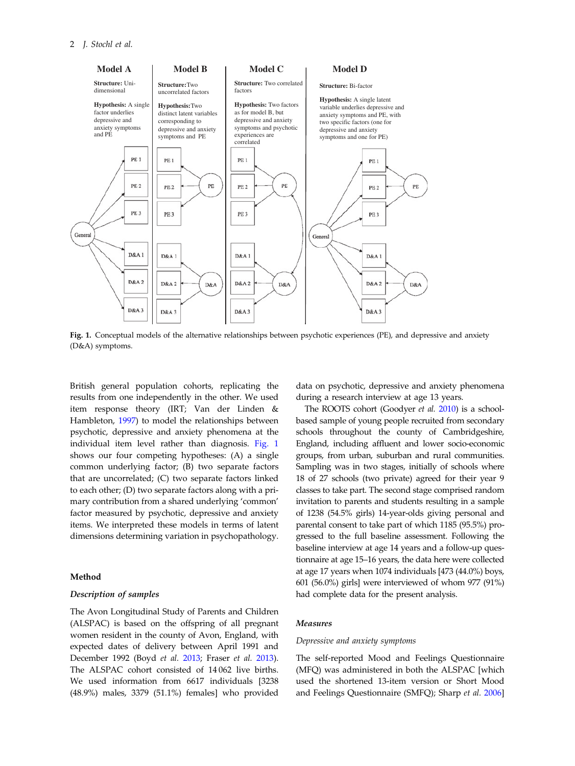

Fig. 1. Conceptual models of the alternative relationships between psychotic experiences (PE), and depressive and anxiety (D&A) symptoms.

British general population cohorts, replicating the results from one independently in the other. We used item response theory (IRT; Van der Linden & Hambleton, 1997) to model the relationships between psychotic, depressive and anxiety phenomena at the individual item level rather than diagnosis. Fig. 1 shows our four competing hypotheses: (A) a single common underlying factor; (B) two separate factors that are uncorrelated; (C) two separate factors linked to each other; (D) two separate factors along with a primary contribution from a shared underlying 'common' factor measured by psychotic, depressive and anxiety items. We interpreted these models in terms of latent dimensions determining variation in psychopathology.

## Method

## Description of samples

The Avon Longitudinal Study of Parents and Children (ALSPAC) is based on the offspring of all pregnant women resident in the county of Avon, England, with expected dates of delivery between April 1991 and December 1992 (Boyd *et al.* 2013; Fraser *et al.* 2013). The ALSPAC cohort consisted of 14 062 live births. We used information from 6617 individuals [3238 (48.9%) males, 3379 (51.1%) females] who provided data on psychotic, depressive and anxiety phenomena during a research interview at age 13 years.

The ROOTS cohort (Goodyer *et al.* 2010) is a schoolbased sample of young people recruited from secondary schools throughout the county of Cambridgeshire, England, including affluent and lower socio-economic groups, from urban, suburban and rural communities. Sampling was in two stages, initially of schools where 18 of 27 schools (two private) agreed for their year 9 classes to take part. The second stage comprised random invitation to parents and students resulting in a sample of 1238 (54.5% girls) 14-year-olds giving personal and parental consent to take part of which 1185 (95.5%) progressed to the full baseline assessment. Following the baseline interview at age 14 years and a follow-up questionnaire at age 15–16 years, the data here were collected at age 17 years when 1074 individuals [473 (44.0%) boys, 601 (56.0%) girls] were interviewed of whom 977 (91%) had complete data for the present analysis.

### Measures

#### *Depressive and anxiety symptoms*

The self-reported Mood and Feelings Questionnaire (MFQ) was administered in both the ALSPAC [which used the shortened 13-item version or Short Mood and Feelings Questionnaire (SMFQ); Sharp *et al.* 2006]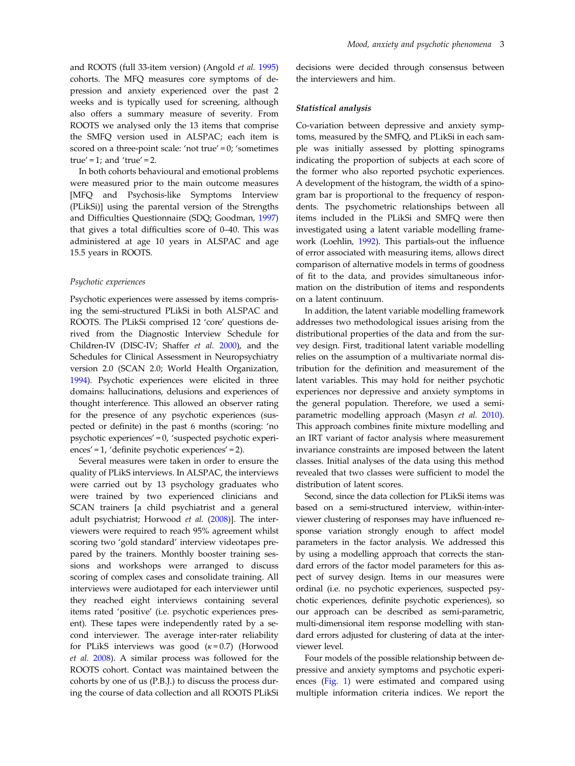and ROOTS (full 33-item version) (Angold *et al.* 1995) cohorts. The MFQ measures core symptoms of depression and anxiety experienced over the past 2 weeks and is typically used for screening, although also offers a summary measure of severity. From ROOTS we analysed only the 13 items that comprise the SMFQ version used in ALSPAC; each item is scored on a three-point scale: 'not true' = 0; 'sometimes true' = 1; and 'true' = 2.

In both cohorts behavioural and emotional problems were measured prior to the main outcome measures [MFQ and Psychosis-like Symptoms Interview (PLikSi)] using the parental version of the Strengths and Difficulties Questionnaire (SDQ; Goodman, 1997) that gives a total difficulties score of 0–40. This was administered at age 10 years in ALSPAC and age 15.5 years in ROOTS.

## *Psychotic experiences*

Psychotic experiences were assessed by items comprising the semi-structured PLikSi in both ALSPAC and ROOTS. The PLikSi comprised 12 'core' questions derived from the Diagnostic Interview Schedule for Children-IV (DISC-IV; Shaffer *et al.* 2000), and the Schedules for Clinical Assessment in Neuropsychiatry version 2.0 (SCAN 2.0; World Health Organization, 1994). Psychotic experiences were elicited in three domains: hallucinations, delusions and experiences of thought interference. This allowed an observer rating for the presence of any psychotic experiences (suspected or definite) in the past 6 months (scoring: 'no psychotic experiences' = 0, 'suspected psychotic experiences' = 1, 'definite psychotic experiences' = 2).

Several measures were taken in order to ensure the quality of PLikS interviews. In ALSPAC, the interviews were carried out by 13 psychology graduates who were trained by two experienced clinicians and SCAN trainers [a child psychiatrist and a general adult psychiatrist; Horwood *et al.* (2008)]. The interviewers were required to reach 95% agreement whilst scoring two 'gold standard' interview videotapes prepared by the trainers. Monthly booster training sessions and workshops were arranged to discuss scoring of complex cases and consolidate training. All interviews were audiotaped for each interviewer until they reached eight interviews containing several items rated 'positive' (i.e. psychotic experiences present). These tapes were independently rated by a second interviewer. The average inter-rater reliability for PLikS interviews was good  $(\kappa = 0.7)$  (Horwood *et al.* 2008). A similar process was followed for the ROOTS cohort. Contact was maintained between the cohorts by one of us (P.B.J.) to discuss the process during the course of data collection and all ROOTS PLikSi

decisions were decided through consensus between the interviewers and him.

## Statistical analysis

Co-variation between depressive and anxiety symptoms, measured by the SMFQ, and PLikSi in each sample was initially assessed by plotting spinograms indicating the proportion of subjects at each score of the former who also reported psychotic experiences. A development of the histogram, the width of a spinogram bar is proportional to the frequency of respondents. The psychometric relationships between all items included in the PLikSi and SMFQ were then investigated using a latent variable modelling framework (Loehlin, 1992). This partials-out the influence of error associated with measuring items, allows direct comparison of alternative models in terms of goodness of fit to the data, and provides simultaneous information on the distribution of items and respondents on a latent continuum.

In addition, the latent variable modelling framework addresses two methodological issues arising from the distributional properties of the data and from the survey design. First, traditional latent variable modelling relies on the assumption of a multivariate normal distribution for the definition and measurement of the latent variables. This may hold for neither psychotic experiences nor depressive and anxiety symptoms in the general population. Therefore, we used a semiparametric modelling approach (Masyn *et al.* 2010). This approach combines finite mixture modelling and an IRT variant of factor analysis where measurement invariance constraints are imposed between the latent classes. Initial analyses of the data using this method revealed that two classes were sufficient to model the distribution of latent scores.

Second, since the data collection for PLikSi items was based on a semi-structured interview, within-interviewer clustering of responses may have influenced response variation strongly enough to affect model parameters in the factor analysis. We addressed this by using a modelling approach that corrects the standard errors of the factor model parameters for this aspect of survey design. Items in our measures were ordinal (i.e. no psychotic experiences, suspected psychotic experiences, definite psychotic experiences), so our approach can be described as semi-parametric, multi-dimensional item response modelling with standard errors adjusted for clustering of data at the interviewer level.

Four models of the possible relationship between depressive and anxiety symptoms and psychotic experiences (Fig. 1) were estimated and compared using multiple information criteria indices. We report the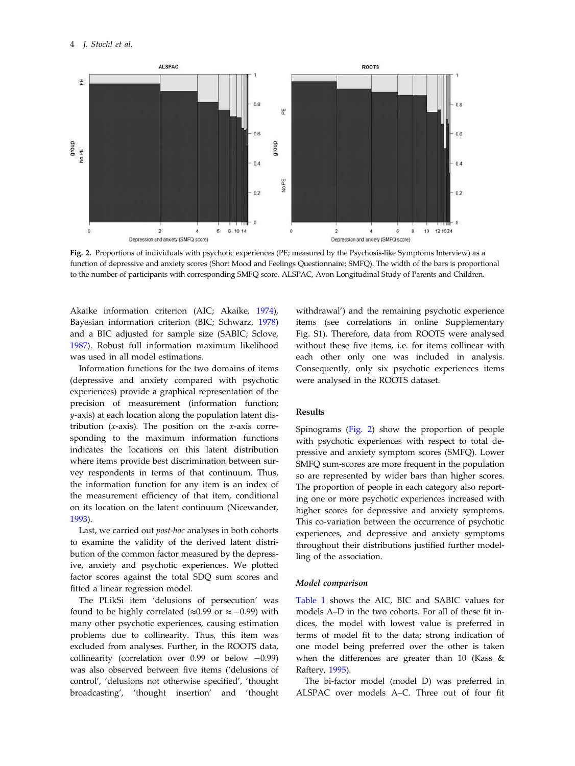

Fig. 2. Proportions of individuals with psychotic experiences (PE; measured by the Psychosis-like Symptoms Interview) as a function of depressive and anxiety scores (Short Mood and Feelings Questionnaire; SMFQ). The width of the bars is proportional to the number of participants with corresponding SMFQ score. ALSPAC, Avon Longitudinal Study of Parents and Children.

Akaike information criterion (AIC; Akaike, 1974), Bayesian information criterion (BIC; Schwarz, 1978) and a BIC adjusted for sample size (SABIC; Sclove, 1987). Robust full information maximum likelihood was used in all model estimations.

Information functions for the two domains of items (depressive and anxiety compared with psychotic experiences) provide a graphical representation of the precision of measurement (information function; *y*-axis) at each location along the population latent distribution (*x*-axis). The position on the *x*-axis corresponding to the maximum information functions indicates the locations on this latent distribution where items provide best discrimination between survey respondents in terms of that continuum. Thus, the information function for any item is an index of the measurement efficiency of that item, conditional on its location on the latent continuum (Nicewander, 1993).

Last, we carried out *post-hoc* analyses in both cohorts to examine the validity of the derived latent distribution of the common factor measured by the depressive, anxiety and psychotic experiences. We plotted factor scores against the total SDQ sum scores and fitted a linear regression model.

The PLikSi item 'delusions of persecution' was found to be highly correlated ( $\approx$ 0.99 or  $\approx$  −0.99) with many other psychotic experiences, causing estimation problems due to collinearity. Thus, this item was excluded from analyses. Further, in the ROOTS data, collinearity (correlation over 0.99 or below −0.99) was also observed between five items ('delusions of control', 'delusions not otherwise specified', 'thought broadcasting', 'thought insertion' and 'thought

withdrawal') and the remaining psychotic experience items (see correlations in online Supplementary Fig. S1). Therefore, data from ROOTS were analysed without these five items, i.e. for items collinear with each other only one was included in analysis. Consequently, only six psychotic experiences items were analysed in the ROOTS dataset.

## Results

Spinograms (Fig. 2) show the proportion of people with psychotic experiences with respect to total depressive and anxiety symptom scores (SMFQ). Lower SMFQ sum-scores are more frequent in the population so are represented by wider bars than higher scores. The proportion of people in each category also reporting one or more psychotic experiences increased with higher scores for depressive and anxiety symptoms. This co-variation between the occurrence of psychotic experiences, and depressive and anxiety symptoms throughout their distributions justified further modelling of the association.

#### Model comparison

Table 1 shows the AIC, BIC and SABIC values for models A–D in the two cohorts. For all of these fit indices, the model with lowest value is preferred in terms of model fit to the data; strong indication of one model being preferred over the other is taken when the differences are greater than 10 (Kass & Raftery, 1995).

The bi-factor model (model D) was preferred in ALSPAC over models A–C. Three out of four fit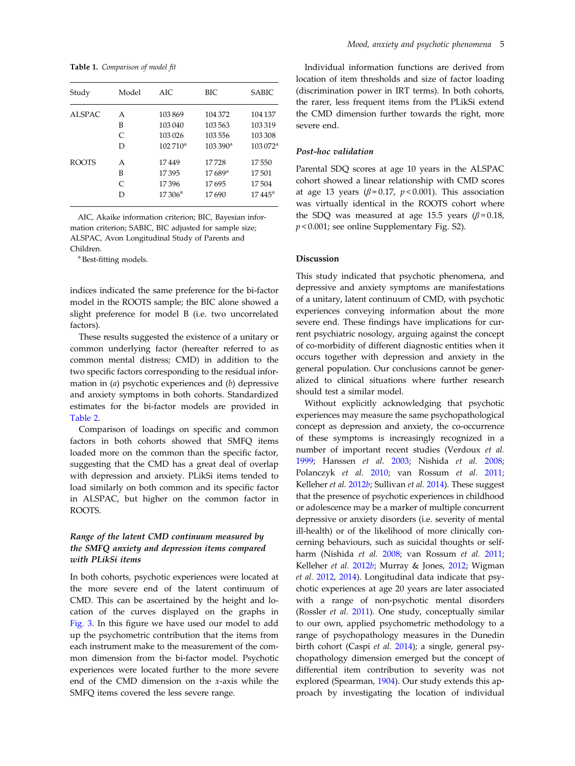Table 1. *Comparison of model* fi*t*

| Study        | Model         | AIC.            | BIC.                 | <b>SABIC</b>        |
|--------------|---------------|-----------------|----------------------|---------------------|
| ALSPAC       | A             | 103869          | 104 372              | 104 137             |
|              | B             | 103 040         | 103563               | 103319              |
|              | $\mathcal{C}$ | 103026          | 103556               | 103 308             |
|              | D             | $102710^a$      | $103390^{\rm a}$     | $103072^{\text{a}}$ |
| <b>ROOTS</b> | A             | 17449           | 17728                | 17550               |
|              | B             | 17395           | $17689$ <sup>a</sup> | 17501               |
|              | $\subset$     | 17396           | 17695                | 17504               |
|              | D             | $17306^{\rm a}$ | 17690                | $17\,445^{\rm a}$   |
|              |               |                 |                      |                     |

AIC, Akaike information criterion; BIC, Bayesian information criterion; SABIC, BIC adjusted for sample size; ALSPAC, Avon Longitudinal Study of Parents and Children.

a Best-fitting models.

indices indicated the same preference for the bi-factor model in the ROOTS sample; the BIC alone showed a slight preference for model B (i.e. two uncorrelated factors).

These results suggested the existence of a unitary or common underlying factor (hereafter referred to as common mental distress; CMD) in addition to the two specific factors corresponding to the residual information in (*a*) psychotic experiences and (*b*) depressive and anxiety symptoms in both cohorts. Standardized estimates for the bi-factor models are provided in Table 2.

Comparison of loadings on specific and common factors in both cohorts showed that SMFQ items loaded more on the common than the specific factor, suggesting that the CMD has a great deal of overlap with depression and anxiety. PLikSi items tended to load similarly on both common and its specific factor in ALSPAC, but higher on the common factor in ROOTS.

## Range of the latent CMD continuum measured by the SMFQ anxiety and depression items compared with PLikSi items

In both cohorts, psychotic experiences were located at the more severe end of the latent continuum of CMD. This can be ascertained by the height and location of the curves displayed on the graphs in Fig. 3. In this figure we have used our model to add up the psychometric contribution that the items from each instrument make to the measurement of the common dimension from the bi-factor model. Psychotic experiences were located further to the more severe end of the CMD dimension on the *x*-axis while the SMFQ items covered the less severe range.

Individual information functions are derived from location of item thresholds and size of factor loading (discrimination power in IRT terms). In both cohorts, the rarer, less frequent items from the PLikSi extend the CMD dimension further towards the right, more severe end.

## Post-hoc validation

Parental SDQ scores at age 10 years in the ALSPAC cohort showed a linear relationship with CMD scores at age 13 years  $(\beta = 0.17, p < 0.001)$ . This association was virtually identical in the ROOTS cohort where the SDQ was measured at age 15.5 years ( $\beta$ =0.18, *p* < 0.001; see online Supplementary Fig. S2).

#### Discussion

This study indicated that psychotic phenomena, and depressive and anxiety symptoms are manifestations of a unitary, latent continuum of CMD, with psychotic experiences conveying information about the more severe end. These findings have implications for current psychiatric nosology, arguing against the concept of co-morbidity of different diagnostic entities when it occurs together with depression and anxiety in the general population. Our conclusions cannot be generalized to clinical situations where further research should test a similar model.

Without explicitly acknowledging that psychotic experiences may measure the same psychopathological concept as depression and anxiety, the co-occurrence of these symptoms is increasingly recognized in a number of important recent studies (Verdoux *et al.* 1999; Hanssen *et al.* 2003; Nishida *et al.* 2008; Polanczyk *et al.* 2010; van Rossum *et al.* 2011; Kelleher *et al.* 2012*b*; Sullivan *et al.* 2014). These suggest that the presence of psychotic experiences in childhood or adolescence may be a marker of multiple concurrent depressive or anxiety disorders (i.e. severity of mental ill-health) or of the likelihood of more clinically concerning behaviours, such as suicidal thoughts or selfharm (Nishida *et al.* 2008; van Rossum *et al.* 2011; Kelleher *et al.* 2012*b*; Murray & Jones, 2012; Wigman *et al.* 2012, 2014). Longitudinal data indicate that psychotic experiences at age 20 years are later associated with a range of non-psychotic mental disorders (Rossler *et al.* 2011). One study, conceptually similar to our own, applied psychometric methodology to a range of psychopathology measures in the Dunedin birth cohort (Caspi *et al.* 2014); a single, general psychopathology dimension emerged but the concept of differential item contribution to severity was not explored (Spearman, 1904). Our study extends this approach by investigating the location of individual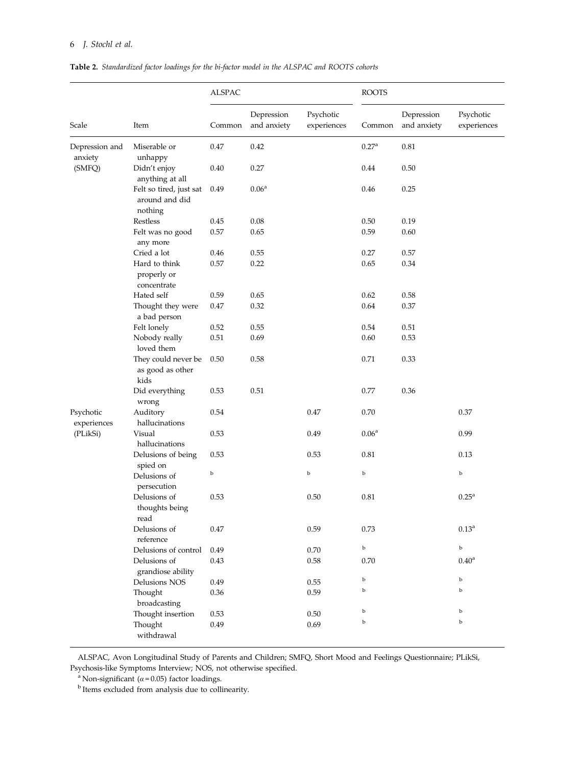# 6 *J. Stochl et al.*

Table 2. *Standardized factor loadings for the bi-factor model in the ALSPAC and ROOTS cohorts*

|                                      |                                                      | <b>ALSPAC</b> |                           |                          | <b>ROOTS</b>      |                           |                          |
|--------------------------------------|------------------------------------------------------|---------------|---------------------------|--------------------------|-------------------|---------------------------|--------------------------|
| Scale                                | Item                                                 | Common        | Depression<br>and anxiety | Psychotic<br>experiences | Common            | Depression<br>and anxiety | Psychotic<br>experiences |
| Depression and<br>anxiety<br>(SMFQ)  | Miserable or<br>unhappy                              | 0.47          | 0.42                      |                          | 0.27 <sup>a</sup> | 0.81                      |                          |
|                                      | Didn't enjoy<br>anything at all                      | 0.40          | 0.27                      |                          | 0.44              | 0.50                      |                          |
|                                      | Felt so tired, just sat<br>around and did<br>nothing | 0.49          | 0.06 <sup>a</sup>         |                          | 0.46              | 0.25                      |                          |
|                                      | Restless                                             | 0.45          | 0.08                      |                          | 0.50              | 0.19                      |                          |
|                                      | Felt was no good<br>any more                         | 0.57          | 0.65                      |                          | 0.59              | 0.60                      |                          |
|                                      | Cried a lot                                          | 0.46          | 0.55                      |                          | 0.27              | 0.57                      |                          |
|                                      | Hard to think<br>properly or<br>concentrate          | 0.57          | 0.22                      |                          | 0.65              | 0.34                      |                          |
|                                      | Hated self                                           | 0.59          | 0.65                      |                          | 0.62              | 0.58                      |                          |
|                                      | Thought they were<br>a bad person                    | 0.47          | 0.32                      |                          | 0.64              | 0.37                      |                          |
|                                      | Felt lonely                                          | 0.52          | 0.55                      |                          | 0.54              | 0.51                      |                          |
|                                      | Nobody really<br>loved them                          | 0.51          | 0.69                      |                          | 0.60              | 0.53                      |                          |
|                                      | They could never be<br>as good as other<br>kids      | 0.50          | 0.58                      |                          | 0.71              | 0.33                      |                          |
|                                      | Did everything<br>wrong                              | 0.53          | 0.51                      |                          | 0.77              | 0.36                      |                          |
| Psychotic<br>experiences<br>(PLikSi) | Auditory<br>hallucinations                           | 0.54          |                           | 0.47                     | 0.70              |                           | 0.37                     |
|                                      | Visual<br>hallucinations                             | 0.53          |                           | 0.49                     | 0.06 <sup>a</sup> |                           | 0.99                     |
|                                      | Delusions of being<br>spied on                       | 0.53          |                           | 0.53                     | 0.81              |                           | 0.13                     |
|                                      | Delusions of<br>persecution                          | b             |                           | $_{\rm b}$               | b                 |                           | b                        |
|                                      | Delusions of<br>thoughts being<br>read               | 0.53          |                           | 0.50                     | 0.81              |                           | $0.25^{\rm a}$           |
|                                      | Delusions of<br>reference                            | 0.47          |                           | 0.59                     | 0.73              |                           | $0.13^{a}$               |
|                                      | Delusions of control                                 | 0.49          |                           | 0.70                     | $\rm{b}$          |                           | $\rm b$                  |
|                                      | Delusions of<br>grandiose ability                    | 0.43          |                           | 0.58                     | 0.70              |                           | 0.40 <sup>a</sup>        |
|                                      | Delusions NOS                                        | 0.49          |                           | 0.55                     | $\mathbf b$       |                           | $\rm b$                  |
|                                      | Thought<br>broadcasting                              | 0.36          |                           | 0.59                     | b                 |                           | b                        |
|                                      | Thought insertion                                    | 0.53          |                           | 0.50                     | $\mathbf b$       |                           | $\rm b$                  |
|                                      | Thought                                              | 0.49          |                           | 0.69                     | b                 |                           | $\mathbf b$              |
|                                      | withdrawal                                           |               |                           |                          |                   |                           |                          |

ALSPAC, Avon Longitudinal Study of Parents and Children; SMFQ, Short Mood and Feelings Questionnaire; PLikSi, Psychosis-like Symptoms Interview; NOS, not otherwise specified.

<sup>a</sup> Non-significant ( $\alpha$ =0.05) factor loadings.<br><sup>b</sup> Items excluded from analysis due to collinearity.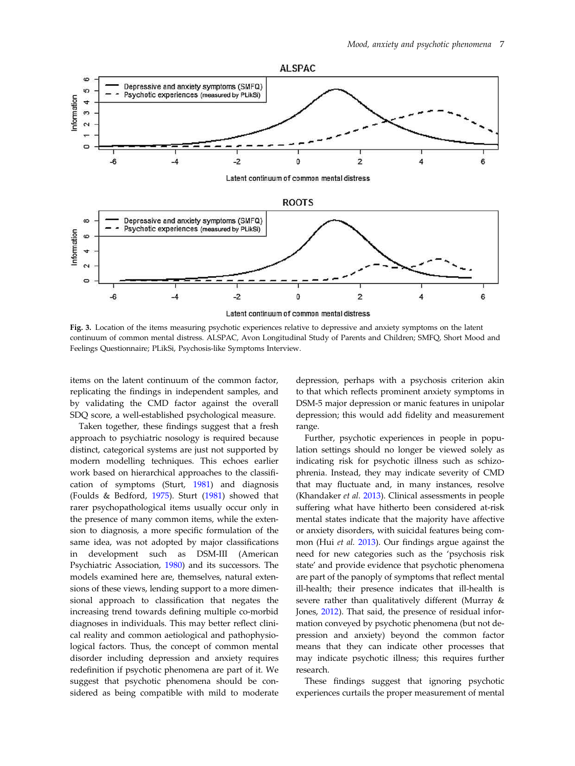

Fig. 3. Location of the items measuring psychotic experiences relative to depressive and anxiety symptoms on the latent continuum of common mental distress. ALSPAC, Avon Longitudinal Study of Parents and Children; SMFQ, Short Mood and Feelings Questionnaire; PLikSi, Psychosis-like Symptoms Interview.

items on the latent continuum of the common factor, replicating the findings in independent samples, and by validating the CMD factor against the overall SDQ score, a well-established psychological measure.

Taken together, these findings suggest that a fresh approach to psychiatric nosology is required because distinct, categorical systems are just not supported by modern modelling techniques. This echoes earlier work based on hierarchical approaches to the classification of symptoms (Sturt, 1981) and diagnosis (Foulds & Bedford, 1975). Sturt (1981) showed that rarer psychopathological items usually occur only in the presence of many common items, while the extension to diagnosis, a more specific formulation of the same idea, was not adopted by major classifications in development such as DSM-III (American Psychiatric Association, 1980) and its successors. The models examined here are, themselves, natural extensions of these views, lending support to a more dimensional approach to classification that negates the increasing trend towards defining multiple co-morbid diagnoses in individuals. This may better reflect clinical reality and common aetiological and pathophysiological factors. Thus, the concept of common mental disorder including depression and anxiety requires redefinition if psychotic phenomena are part of it. We suggest that psychotic phenomena should be considered as being compatible with mild to moderate

depression, perhaps with a psychosis criterion akin to that which reflects prominent anxiety symptoms in DSM-5 major depression or manic features in unipolar depression; this would add fidelity and measurement range.

Further, psychotic experiences in people in population settings should no longer be viewed solely as indicating risk for psychotic illness such as schizophrenia. Instead, they may indicate severity of CMD that may fluctuate and, in many instances, resolve (Khandaker *et al.* 2013). Clinical assessments in people suffering what have hitherto been considered at-risk mental states indicate that the majority have affective or anxiety disorders, with suicidal features being common (Hui *et al.* 2013). Our findings argue against the need for new categories such as the 'psychosis risk state' and provide evidence that psychotic phenomena are part of the panoply of symptoms that reflect mental ill-health; their presence indicates that ill-health is severe rather than qualitatively different (Murray & Jones, 2012). That said, the presence of residual information conveyed by psychotic phenomena (but not depression and anxiety) beyond the common factor means that they can indicate other processes that may indicate psychotic illness; this requires further research.

These findings suggest that ignoring psychotic experiences curtails the proper measurement of mental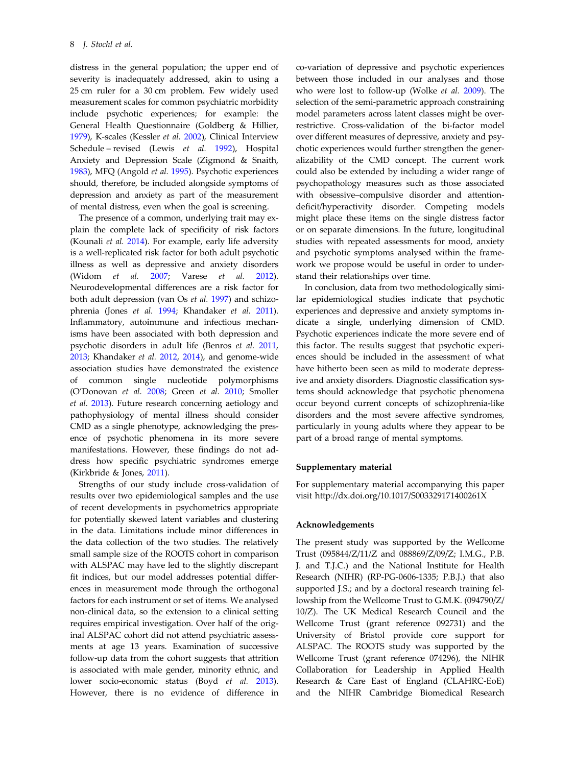distress in the general population; the upper end of severity is inadequately addressed, akin to using a 25 cm ruler for a 30 cm problem. Few widely used measurement scales for common psychiatric morbidity include psychotic experiences; for example: the General Health Questionnaire (Goldberg & Hillier, 1979), K-scales (Kessler *et al.* 2002), Clinical Interview Schedule – revised (Lewis *et al.* 1992), Hospital Anxiety and Depression Scale (Zigmond & Snaith, 1983), MFQ (Angold *et al.* 1995). Psychotic experiences should, therefore, be included alongside symptoms of depression and anxiety as part of the measurement of mental distress, even when the goal is screening.

The presence of a common, underlying trait may explain the complete lack of specificity of risk factors (Kounali *et al.* 2014). For example, early life adversity is a well-replicated risk factor for both adult psychotic illness as well as depressive and anxiety disorders (Widom *et al.* 2007; Varese *et al.* 2012). Neurodevelopmental differences are a risk factor for both adult depression (van Os *et al.* 1997) and schizophrenia (Jones *et al.* 1994; Khandaker *et al.* 2011). Inflammatory, autoimmune and infectious mechanisms have been associated with both depression and psychotic disorders in adult life (Benros *et al.* 2011, 2013; Khandaker *et al.* 2012, 2014), and genome-wide association studies have demonstrated the existence of common single nucleotide polymorphisms (O'Donovan *et al.* 2008; Green *et al.* 2010; Smoller *et al.* 2013). Future research concerning aetiology and pathophysiology of mental illness should consider CMD as a single phenotype, acknowledging the presence of psychotic phenomena in its more severe manifestations. However, these findings do not address how specific psychiatric syndromes emerge (Kirkbride & Jones, 2011).

Strengths of our study include cross-validation of results over two epidemiological samples and the use of recent developments in psychometrics appropriate for potentially skewed latent variables and clustering in the data. Limitations include minor differences in the data collection of the two studies. The relatively small sample size of the ROOTS cohort in comparison with ALSPAC may have led to the slightly discrepant fit indices, but our model addresses potential differences in measurement mode through the orthogonal factors for each instrument or set of items. We analysed non-clinical data, so the extension to a clinical setting requires empirical investigation. Over half of the original ALSPAC cohort did not attend psychiatric assessments at age 13 years. Examination of successive follow-up data from the cohort suggests that attrition is associated with male gender, minority ethnic, and lower socio-economic status (Boyd *et al.* 2013). However, there is no evidence of difference in co-variation of depressive and psychotic experiences between those included in our analyses and those who were lost to follow-up (Wolke *et al.* 2009). The selection of the semi-parametric approach constraining model parameters across latent classes might be overrestrictive. Cross-validation of the bi-factor model over different measures of depressive, anxiety and psychotic experiences would further strengthen the generalizability of the CMD concept. The current work could also be extended by including a wider range of psychopathology measures such as those associated with obsessive–compulsive disorder and attentiondeficit/hyperactivity disorder. Competing models might place these items on the single distress factor or on separate dimensions. In the future, longitudinal studies with repeated assessments for mood, anxiety and psychotic symptoms analysed within the framework we propose would be useful in order to understand their relationships over time.

In conclusion, data from two methodologically similar epidemiological studies indicate that psychotic experiences and depressive and anxiety symptoms indicate a single, underlying dimension of CMD. Psychotic experiences indicate the more severe end of this factor. The results suggest that psychotic experiences should be included in the assessment of what have hitherto been seen as mild to moderate depressive and anxiety disorders. Diagnostic classification systems should acknowledge that psychotic phenomena occur beyond current concepts of schizophrenia-like disorders and the most severe affective syndromes, particularly in young adults where they appear to be part of a broad range of mental symptoms.

## Supplementary material

For supplementary material accompanying this paper visit http://dx.doi.org/10.1017/S003329171400261X

#### Acknowledgements

The present study was supported by the Wellcome Trust (095844/Z/11/Z and 088869/Z/09/Z; I.M.G., P.B. J. and T.J.C.) and the National Institute for Health Research (NIHR) (RP-PG-0606-1335; P.B.J.) that also supported J.S.; and by a doctoral research training fellowship from the Wellcome Trust to G.M.K. (094790/Z/ 10/Z). The UK Medical Research Council and the Wellcome Trust (grant reference 092731) and the University of Bristol provide core support for ALSPAC. The ROOTS study was supported by the Wellcome Trust (grant reference 074296), the NIHR Collaboration for Leadership in Applied Health Research & Care East of England (CLAHRC-EoE) and the NIHR Cambridge Biomedical Research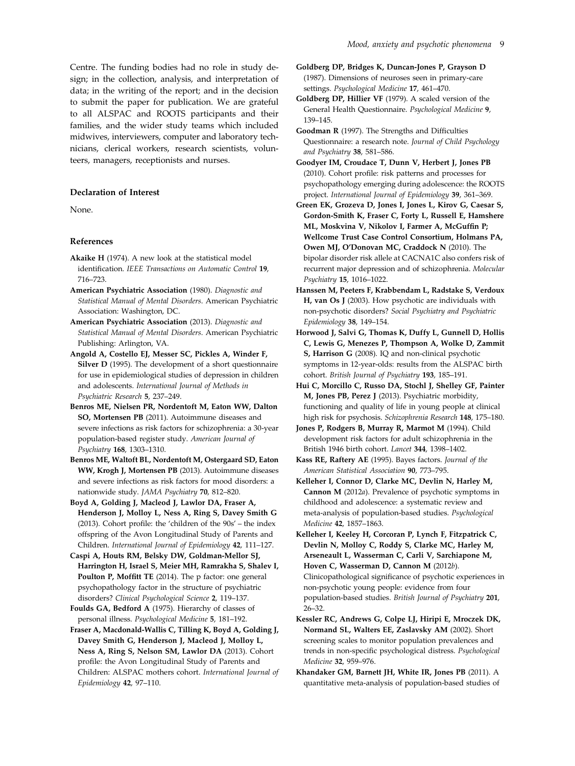Centre. The funding bodies had no role in study design; in the collection, analysis, and interpretation of data; in the writing of the report; and in the decision to submit the paper for publication. We are grateful to all ALSPAC and ROOTS participants and their families, and the wider study teams which included midwives, interviewers, computer and laboratory technicians, clerical workers, research scientists, volunteers, managers, receptionists and nurses.

## Declaration of Interest

None.

#### References

- Akaike H (1974). A new look at the statistical model identification. *IEEE Transactions on Automatic Control* 19, 716–723.
- American Psychiatric Association (1980). *Diagnostic and Statistical Manual of Mental Disorders*. American Psychiatric Association: Washington, DC.
- American Psychiatric Association (2013). *Diagnostic and Statistical Manual of Mental Disorders*. American Psychiatric Publishing: Arlington, VA.
- Angold A, Costello EJ, Messer SC, Pickles A, Winder F, Silver D (1995). The development of a short questionnaire for use in epidemiological studies of depression in children and adolescents. *International Journal of Methods in Psychiatric Research* 5, 237–249.
- Benros ME, Nielsen PR, Nordentoft M, Eaton WW, Dalton SO, Mortensen PB (2011). Autoimmune diseases and severe infections as risk factors for schizophrenia: a 30-year population-based register study. *American Journal of Psychiatry* 168, 1303–1310.
- Benros ME, Waltoft BL, Nordentoft M, Ostergaard SD, Eaton WW, Krogh J, Mortensen PB (2013). Autoimmune diseases and severe infections as risk factors for mood disorders: a nationwide study. *JAMA Psychiatry* 70, 812–820.
- Boyd A, Golding J, Macleod J, Lawlor DA, Fraser A, Henderson J, Molloy L, Ness A, Ring S, Davey Smith G (2013). Cohort profile: the 'children of the 90s' – the index offspring of the Avon Longitudinal Study of Parents and Children. *International Journal of Epidemiology* 42, 111–127.
- Caspi A, Houts RM, Belsky DW, Goldman-Mellor SJ, Harrington H, Israel S, Meier MH, Ramrakha S, Shalev I, Poulton P, Moffitt TE (2014). The p factor: one general psychopathology factor in the structure of psychiatric disorders? *Clinical Psychological Science* 2, 119–137.
- Foulds GA, Bedford A (1975). Hierarchy of classes of personal illness. *Psychological Medicine* 5, 181–192.
- Fraser A, Macdonald-Wallis C, Tilling K, Boyd A, Golding J, Davey Smith G, Henderson J, Macleod J, Molloy L, Ness A, Ring S, Nelson SM, Lawlor DA (2013). Cohort profile: the Avon Longitudinal Study of Parents and Children: ALSPAC mothers cohort. *International Journal of Epidemiology* 42, 97–110.
- Goldberg DP, Bridges K, Duncan-Jones P, Grayson D (1987). Dimensions of neuroses seen in primary-care settings. *Psychological Medicine* 17, 461–470.
- Goldberg DP, Hillier VF (1979). A scaled version of the General Health Questionnaire. *Psychological Medicine* 9, 139–145.
- Goodman R (1997). The Strengths and Difficulties Questionnaire: a research note. *Journal of Child Psychology and Psychiatry* 38, 581–586.
- Goodyer IM, Croudace T, Dunn V, Herbert J, Jones PB (2010). Cohort profile: risk patterns and processes for psychopathology emerging during adolescence: the ROOTS project. *International Journal of Epidemiology* 39, 361–369.
- Green EK, Grozeva D, Jones I, Jones L, Kirov G, Caesar S, Gordon-Smith K, Fraser C, Forty L, Russell E, Hamshere ML, Moskvina V, Nikolov I, Farmer A, McGuffin P; Wellcome Trust Case Control Consortium, Holmans PA, Owen MJ, O'Donovan MC, Craddock N (2010). The bipolar disorder risk allele at CACNA1C also confers risk of recurrent major depression and of schizophrenia. *Molecular Psychiatry* 15, 1016–1022.
- Hanssen M, Peeters F, Krabbendam L, Radstake S, Verdoux H, van Os J (2003). How psychotic are individuals with non-psychotic disorders? *Social Psychiatry and Psychiatric Epidemiology* 38, 149–154.
- Horwood J, Salvi G, Thomas K, Duffy L, Gunnell D, Hollis C, Lewis G, Menezes P, Thompson A, Wolke D, Zammit S, Harrison G (2008). IQ and non-clinical psychotic symptoms in 12-year-olds: results from the ALSPAC birth cohort. *British Journal of Psychiatry* 193, 185–191.
- Hui C, Morcillo C, Russo DA, Stochl J, Shelley GF, Painter M, Jones PB, Perez J (2013). Psychiatric morbidity, functioning and quality of life in young people at clinical high risk for psychosis. *Schizophrenia Research* 148, 175–180.
- Jones P, Rodgers B, Murray R, Marmot M (1994). Child development risk factors for adult schizophrenia in the British 1946 birth cohort. *Lancet* 344, 1398–1402.
- Kass RE, Raftery AE (1995). Bayes factors. *Journal of the American Statistical Association* 90, 773–795.
- Kelleher I, Connor D, Clarke MC, Devlin N, Harley M, Cannon M (2012*a*). Prevalence of psychotic symptoms in childhood and adolescence: a systematic review and meta-analysis of population-based studies. *Psychological Medicine* 42, 1857–1863.
- Kelleher I, Keeley H, Corcoran P, Lynch F, Fitzpatrick C, Devlin N, Molloy C, Roddy S, Clarke MC, Harley M, Arseneault L, Wasserman C, Carli V, Sarchiapone M, Hoven C, Wasserman D, Cannon M (2012*b*). Clinicopathological significance of psychotic experiences in non-psychotic young people: evidence from four population-based studies. *British Journal of Psychiatry* 201, 26–32.
- Kessler RC, Andrews G, Colpe LJ, Hiripi E, Mroczek DK, Normand SL, Walters EE, Zaslavsky AM (2002). Short screening scales to monitor population prevalences and trends in non-specific psychological distress. *Psychological Medicine* 32, 959–976.
- Khandaker GM, Barnett JH, White IR, Jones PB (2011). A quantitative meta-analysis of population-based studies of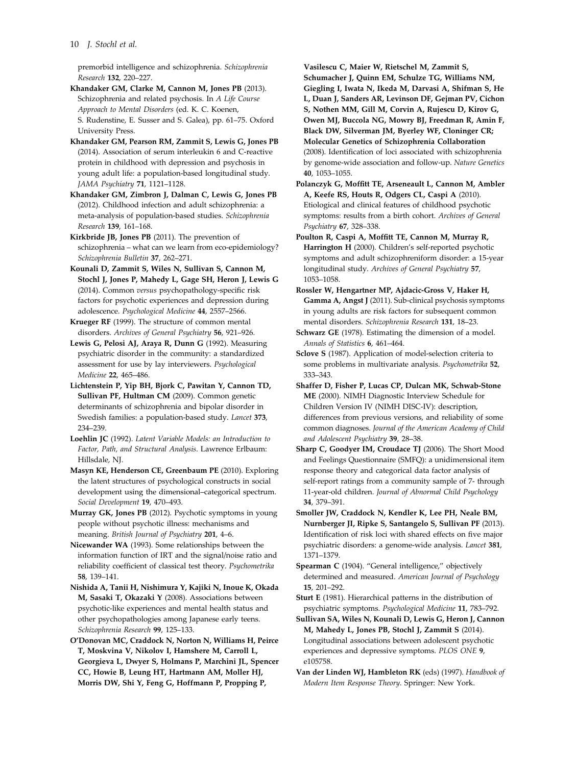## 10 *J. Stochl et al.*

premorbid intelligence and schizophrenia. *Schizophrenia Research* 132, 220–227.

Khandaker GM, Clarke M, Cannon M, Jones PB (2013). Schizophrenia and related psychosis. In *A Life Course Approach to Mental Disorders* (ed. K. C. Koenen, S. Rudenstine, E. Susser and S. Galea), pp. 61–75. Oxford University Press.

Khandaker GM, Pearson RM, Zammit S, Lewis G, Jones PB (2014). Association of serum interleukin 6 and C-reactive protein in childhood with depression and psychosis in young adult life: a population-based longitudinal study. *JAMA Psychiatry* 71, 1121–1128.

Khandaker GM, Zimbron J, Dalman C, Lewis G, Jones PB (2012). Childhood infection and adult schizophrenia: a meta-analysis of population-based studies. *Schizophrenia Research* 139, 161–168.

Kirkbride JB, Jones PB (2011). The prevention of schizophrenia – what can we learn from eco-epidemiology? *Schizophrenia Bulletin* 37, 262–271.

Kounali D, Zammit S, Wiles N, Sullivan S, Cannon M, Stochl J, Jones P, Mahedy L, Gage SH, Heron J, Lewis G (2014). Common *versus* psychopathology-specific risk factors for psychotic experiences and depression during adolescence. *Psychological Medicine* 44, 2557–2566.

Krueger RF (1999). The structure of common mental disorders. *Archives of General Psychiatry* 56, 921–926.

Lewis G, Pelosi AJ, Araya R, Dunn G (1992). Measuring psychiatric disorder in the community: a standardized assessment for use by lay interviewers. *Psychological Medicine* 22, 465–486.

Lichtenstein P, Yip BH, Bjork C, Pawitan Y, Cannon TD, Sullivan PF, Hultman CM (2009). Common genetic determinants of schizophrenia and bipolar disorder in Swedish families: a population-based study. *Lancet* 373, 234–239.

Loehlin JC (1992). *Latent Variable Models: an Introduction to Factor, Path, and Structural Analysis*. Lawrence Erlbaum: Hillsdale, NJ.

Masyn KE, Henderson CE, Greenbaum PE (2010). Exploring the latent structures of psychological constructs in social development using the dimensional–categorical spectrum. *Social Development* 19, 470–493.

Murray GK, Jones PB (2012). Psychotic symptoms in young people without psychotic illness: mechanisms and meaning. *British Journal of Psychiatry* 201, 4–6.

Nicewander WA (1993). Some relationships between the information function of IRT and the signal/noise ratio and reliability coefficient of classical test theory. *Psychometrika* 58, 139–141.

Nishida A, Tanii H, Nishimura Y, Kajiki N, Inoue K, Okada M, Sasaki T, Okazaki Y (2008). Associations between psychotic-like experiences and mental health status and other psychopathologies among Japanese early teens. *Schizophrenia Research* 99, 125–133.

O'Donovan MC, Craddock N, Norton N, Williams H, Peirce T, Moskvina V, Nikolov I, Hamshere M, Carroll L, Georgieva L, Dwyer S, Holmans P, Marchini JL, Spencer CC, Howie B, Leung HT, Hartmann AM, Moller HJ, Morris DW, Shi Y, Feng G, Hoffmann P, Propping P,

Vasilescu C, Maier W, Rietschel M, Zammit S, Schumacher J, Quinn EM, Schulze TG, Williams NM, Giegling I, Iwata N, Ikeda M, Darvasi A, Shifman S, He L, Duan J, Sanders AR, Levinson DF, Gejman PV, Cichon S, Nothen MM, Gill M, Corvin A, Rujescu D, Kirov G, Owen MJ, Buccola NG, Mowry BJ, Freedman R, Amin F, Black DW, Silverman JM, Byerley WF, Cloninger CR; Molecular Genetics of Schizophrenia Collaboration (2008). Identification of loci associated with schizophrenia by genome-wide association and follow-up. *Nature Genetics* 40, 1053–1055.

Polanczyk G, Moffitt TE, Arseneault L, Cannon M, Ambler A, Keefe RS, Houts R, Odgers CL, Caspi A (2010). Etiological and clinical features of childhood psychotic symptoms: results from a birth cohort. *Archives of General Psychiatry* 67, 328–338.

Poulton R, Caspi A, Moffitt TE, Cannon M, Murray R, Harrington H (2000). Children's self-reported psychotic symptoms and adult schizophreniform disorder: a 15-year longitudinal study. *Archives of General Psychiatry* 57, 1053–1058.

Rossler W, Hengartner MP, Ajdacic-Gross V, Haker H, Gamma A, Angst J (2011). Sub-clinical psychosis symptoms in young adults are risk factors for subsequent common mental disorders. *Schizophrenia Research* 131, 18–23.

Schwarz GE (1978). Estimating the dimension of a model. *Annals of Statistics* 6, 461–464.

Sclove S (1987). Application of model-selection criteria to some problems in multivariate analysis. *Psychometrika* 52, 333–343.

Shaffer D, Fisher P, Lucas CP, Dulcan MK, Schwab-Stone ME (2000). NIMH Diagnostic Interview Schedule for Children Version IV (NIMH DISC-IV): description, differences from previous versions, and reliability of some common diagnoses. *Journal of the American Academy of Child and Adolescent Psychiatry* 39, 28–38.

Sharp C, Goodyer IM, Croudace TJ (2006). The Short Mood and Feelings Questionnaire (SMFQ): a unidimensional item response theory and categorical data factor analysis of self-report ratings from a community sample of 7- through 11-year-old children. *Journal of Abnormal Child Psychology* 34, 379–391.

Smoller JW, Craddock N, Kendler K, Lee PH, Neale BM, Nurnberger JI, Ripke S, Santangelo S, Sullivan PF (2013). Identification of risk loci with shared effects on five major psychiatric disorders: a genome-wide analysis. *Lancet* 381, 1371–1379.

Spearman C (1904). "General intelligence," objectively determined and measured. *American Journal of Psychology* 15, 201–292.

Sturt E (1981). Hierarchical patterns in the distribution of psychiatric symptoms. *Psychological Medicine* 11, 783–792.

Sullivan SA, Wiles N, Kounali D, Lewis G, Heron J, Cannon M, Mahedy L, Jones PB, Stochl J, Zammit S (2014). Longitudinal associations between adolescent psychotic experiences and depressive symptoms. *PLOS ONE* 9, e105758.

Van der Linden WJ, Hambleton RK (eds) (1997). *Handbook of Modern Item Response Theory*. Springer: New York.